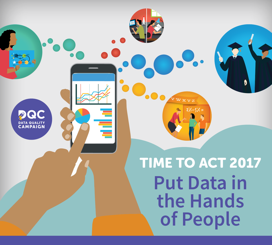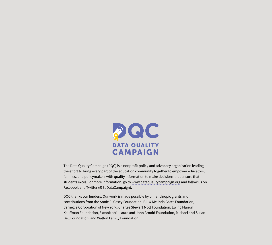

The Data Quality Campaign (DQC) is a nonprofit policy and advocacy organization leading the effort to bring every part of the education community together to empower educators, families, and policymakers with quality information to make decisions that ensure that students excel. For more information, go to [www.dataqualitycampaign.org](http://www.dataqualitycampaign.org) and follow us on [Facebook](https://www.facebook.com/Data-Quality-Campaign-197486055182/) and [Twitter](https://twitter.com/EdDataCampaign) (@EdDataCampaign).

DQC thanks our funders. Our work is made possible by philanthropic grants and contributions from the Annie E. Casey Foundation, Bill & Melinda Gates Foundation, Carnegie Corporation of New York, Charles Stewart Mott Foundation, Ewing Marion Kauffman Foundation, ExxonMobil, Laura and John Arnold Foundation, Michael and Susan Dell Foundation, and Walton Family Foundation.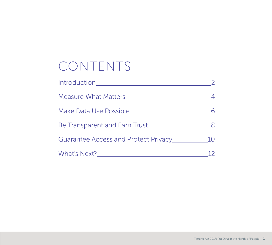# CONTENTS

| <b>Introduction</b>                  |    |
|--------------------------------------|----|
| Measure What Matters Measure         |    |
| Make Data Use Possible               |    |
| Be Transparent and Earn Trust        |    |
| Guarantee Access and Protect Privacy | 10 |
| What's Next?                         |    |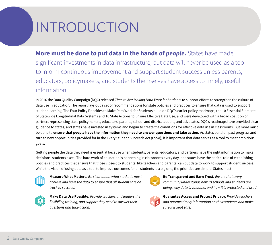# INTRODUCTION

**More must be done to put data in the hands of** *people***.** States have made significant investments in data infrastructure, but data will never be used as a tool to inform continuous improvement and support student success unless parents, educators, policymakers, and students themselves have access to timely, useful information.

In 2016 the Data Quality Campaign (DQC) released *Time to Act: Making Data Work for Students* to support efforts to strengthen the culture of data use in education*.* The report lays out a set of recommendations for state policies and practices to ensure that data is used to support student learning. The [Four Policy Priorities to Make Data Work for Students](https://dataqualitycampaign.org/why-education-data/make-data-work-students/) build on DQC's earlier policy roadmaps, the 10 Essential Elements of Statewide Longitudinal Data Systems and 10 State Actions to Ensure Effective Data Use, and were developed with a broad coalition of partners representing state policymakers, educators, parents, school and district leaders, and advocates. DQC's roadmaps have provided clear guidance to states, and states have invested in systems and begun to create the conditions for effective data use in classrooms. But more must be done to **ensure that people have the information they need to answer questions and take action.** As states build on past progress and turn to new opportunities provided for in the Every Student Succeeds Act (ESSA), it is important that data serves as a tool to meet ambitious goals.

Getting people the data they need is essential because when students, parents, educators, and partners have the right information to make decisions, students excel. The hard work of education is happening in classrooms every day, and states have the critical role of establishing policies and practices that ensure that those closest to students, like teachers and parents, can put data to work to support student success. While the vision of using data as a tool to improve outcomes for all students is a big one, the priorities are simple. States must



**Measure What Matters.** *Be clear about what students must achieve and have the data to ensure that all students are on track to succeed.* 



**Make Data Use Possible.** *Provide teachers and leaders the flexibility, training, and support they need to answer their questions and take action.* 



**Be Transparent and Earn Trust.** *Ensure that every community understands how its schools and students are doing, why data is valuable, and how it is protected and used.* 



**Guarantee Access and Protect Privacy.** *Provide teachers and parents timely information on their students and make sure it is kept safe.*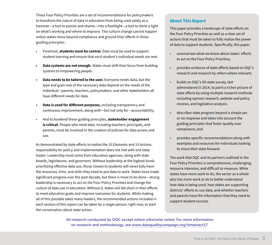These Four Policy Priorities are a set of recommendations for policymakers to transform the nature of data in education from being used solely as a hammer—a tool to punish and shame—into a flashlight—a tool to shine a light on what's working and where to improve. This culture change cannot happen unless states move beyond compliance and ground their efforts in these guiding principles:

- Foremost, **students must be central.** Data must be used to support student learning and ensure that *each* student's individual needs are met.
- **• Data systems are not enough.** States must shift their focus from building systems to empowering people.
- **• Data needs to be tailored to the user.** Everyone needs data, but the type and grain size of the necessary data depend on the needs of the individual—parents, teachers, policymakers, and other stakeholders all have different needs for data.
- **• Data is used for different purposes,** including transparency and continuous improvement, along with—but not only for—accountability.
- And to bookend these guiding principles, **stakeholder engagement is critical.** People who need data, including teachers, principals, and parents, must be involved in the creation of policies for data access and use.

As demonstrated by state efforts to realize the 10 Elements and 10 Actions, responsibility for policy and implementation does not rest with one state leader. Leadership must come from education agencies, along with state boards, legislatures, and governors. Without leadership at the highest levels prioritizing effective data use, those closest to students will never fully have the resources, time, and skills they need to put data to work. States have made significant progress over the past decade, but there is more to be done—strong leadership is necessary to act on the Four Policy Priorities and change the culture of data use in education. Without it, states will fall short in their efforts to meet education goals and improve outcomes for students. While making all of this possible takes many leaders, the recommended actions included in each section of this report can be taken by a single person, right now, to start the conversation about state action.

#### **About This Report**

This paper provides a landscape of state efforts on the Four Policy Priorities as well as a clear set of actions that must be taken to fully realize the power of data to support students. Specifically, this paper

- summarizes what we know about states' efforts to act on the Four Policy Priorities;
- provides evidence of state efforts based on DQC's research and research by others where relevant;
- builds on DQC's 50-state survey, last administered in 2014, to paint a richer picture of state efforts by using multiple research methods including opinion research, website and policy reviews, and legislative analysis;
- describes state progress beyond a simple yes or no response and takes into account the guiding principles that foster quality over compliance; and
- provides specific recommendations along with examples and resources for individuals looking to move their state forward.

The work that DQC and its partners outlined in the Four Policy Priorities is comprehensive, challenging, resource intensive, and difficult to measure. While states have more work to do, the sector as a whole also has more work to do to better understand how data is being used, how states are supporting districts' efforts to use data, and whether teachers and parents have the information that they need to support student success.

All research conducted by DQC except where otherwise noted. For more information on research and methodology, see [www.dataqualitycampaign.org/timetoact17.](http://www.dataqualitycampaign.org/timetoact17)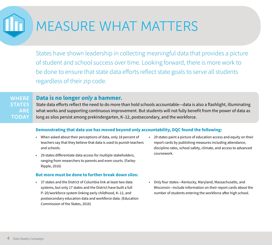# MEASURE WHAT MATTERS

States have shown leadership in collecting meaningful data that provides a picture of student and school success over time. Looking forward, there is more work to be done to ensure that state data efforts reflect state goals to serve all students regardless of their zip code.

#### **Data is no longer** *only* **a hammer.**  WHERE

**STATES** ARE **TODAY** 

State data efforts reflect the need to do more than hold schools accountable—data is also a flashlight, illuminating what works and supporting continuous improvement. But students will not fully benefit from the power of data as long as silos persist among prekindergarten, K–12, postsecondary, and the workforce.

#### **Demonstrating that data use has moved beyond only accountability, DQC found the following:**

- When asked about their perceptions of data, only 18 percent of teachers say that they believe that data is used to punish teachers and schools.
- 29 states differentiate data access for multiple stakeholders, ranging from researchers to parents and even courts. (Farley-Ripple, 2016)

#### **But more must be done to further break down silos:**

• 37 states and the District of Columbia link at least two data systems, but only 17 states and the District have built a full P–20/workforce system linking early childhood, K–12, and postsecondary education data and workforce data. (Education Commission of the States, 2016)

- 29 states paint a picture of education access and equity on their report cards by publishing measures including attendance, discipline rates, school safety, climate, and access to advanced coursework.
- Only four states—Kentucky, Maryland, Massachusetts, and Wisconsin—include information on their report cards about the number of students entering the workforce after high school.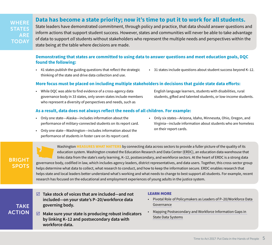**WHERE STATES** ARE **TODAY** 

### **Data has become a state priority; now it's time to put it to work for all students.**

State leaders have demonstrated commitment, through policy and practice, that data should answer questions and inform actions that support student success. However, states and communities will never be able to take advantage of data to support *all* students without stakeholders who represent the multiple needs and perspectives within the state being at the table where decisions are made.

#### **Demonstrating that states are committed to using data to answer questions and meet education goals, DQC found the following:**

- 41 states publish the guiding questions that reflect the strategic thinking of the state and drive data collection and use.
- 31 states include questions about student success beyond K–12.

#### **More focus must be placed on including multiple stakeholders in decisions that guide state data efforts:**

• While DQC was able to find evidence of a cross-agency data governance body in 33 states, only seven states include members who represent a diversity of perspectives and needs, such as

English language learners, students with disabilities, rural students, gifted and talented students, or low-income students.

#### **As a result, data does not always reflect the needs of all children. For example:**

- Only one state—Alaska—includes information about the performance of military-connected students on its report card.
- Only one state—Washington—includes information about the performance of students in foster care on its report card.
- Only six states—Arizona, Idaho, Minnesota, Ohio, Oregon, and Virginia—include information about students who are homeless on their report cards.

Washington **MEASURES WHAT MATTERS** by connecting data across sectors to provide a fuller picture of the quality of its education system. Washington created the Education Research and Data Center [\(ERDC](http://www.erdc.wa.gov)), an education data warehouse that links data from the state's early learning, K–12, postsecondary, and workforce sectors. At the heart of ERDC is a strong data governance body, codified in law, which includes agency leaders, district representatives, and data users. Together, this cross-sector group helps determine what data to collect, what research to conduct, and how to keep the information secure. ERDC enables research that helps state and local leaders better understand what's working and what needs to change to best support all students. For example, recent research has focused on the educational and employment experiences of young adults in the justice system.

TAKE ACTION

BRIGHT **SPOTS** 

- **Take stock of voices that are included—and not included—on your state's P–20/workforce data governing body.**
- **Make sure your state is producing robust indicators by linking K–12 and postsecondary data with workforce data.**

- Pivotal Role [of Policymakers as Leaders of P–20/Workforce Data](http://dataqualitycampaign.org/resource/pivotal-role-policymakers-leaders-p-20workforce-data-governance/)  [Governance](http://dataqualitycampaign.org/resource/pivotal-role-policymakers-leaders-p-20workforce-data-governance/)
- [Mapping Postsecondary and Workforce Information Gaps in](http://www.ihep.org/sites/default/files/uploads/postsecdata/docs/resources/infographic_pdf_final.pdf)  [State Data Systems](http://www.ihep.org/sites/default/files/uploads/postsecdata/docs/resources/infographic_pdf_final.pdf)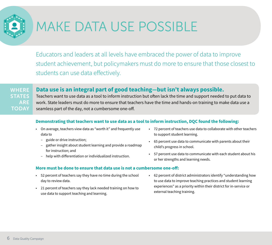

# MAKE DATA USE POSSIBLE

Educators and leaders at all levels have embraced the power of data to improve student achievement, but policymakers must do more to ensure that those closest to students can use data effectively.

## **WHERE STATES** ARE **TODAY**

## **Data use is an integral part of good teaching—but isn't always possible.**

Teachers want to use data as a tool to inform instruction but often lack the time and support needed to put data to work. State leaders must do more to ensure that teachers have the time and hands-on training to make data use a seamless part of the day, not a cumbersome one-off.

### **Demonstrating that teachers want to use data as a tool to inform instruction, DQC found the following:**

- On average, teachers view data as "worth it" and frequently use data to
	- guide or drive instruction;
	- gather insight about student learning and provide a roadmap for instruction; and
	- help with differentiation or individualized instruction.

#### **More must be done to ensure that data use is not a cumbersome one-off:**

- 52 percent of teachers say they have no time during the school day to review data.
- 21 percent of teachers say they lack needed training on how to use data to support teaching and learning.
- 72 percent of teachers use data to collaborate with other teachers to support student learning.
- 65 percent use data to communicate with parents about their child's progress in school.
- 57 percent use data to communicate with each student about his or her strengths and learning needs.
- 62 percent of district administrators identify "understanding how to use data to improve teaching practices and student learning experiences" as a priority within their district for in-service or external teaching training.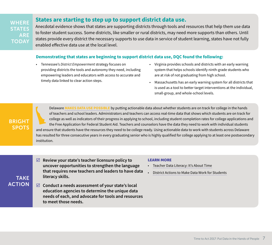**WHERE STATES** ARE **TODAY** 

### **States are starting to step up to support district data use.**

Anecdotal evidence shows that states are supporting districts through tools and resources that help them use data to foster student success. Some districts, like smaller or rural districts, may need more supports than others. Until states provide every district the necessary supports to use data in service of student learning, states have not fully enabled effective data use at the local level.

#### **Demonstrating that states are beginning to support district data use, DQC found the following:**

- Tennessee's *District Empowerment* strategy focuses on providing districts the tools and autonomy they need, including empowering leaders and educators with access to accurate and timely data linked to clear action steps.
- Virginia provides schools and districts with an early warning system that helps schools identify ninth-grade students who are at risk of not graduating from high school.
- Massachusetts has an early warning system for all districts that is used as a tool to better target interventions at the individual, small-group, and whole-school levels.

BRIGHT SPOTS

TAKE

Delaware **[MAKES DATA USE POSSIBLE](http://www.pewtrusts.org/en/research-and-analysis/issue-briefs/2017/01/analytics-help-boost-college-applications)** by putting actionable data about whether students are on track for college in the hands of teachers and school leaders. Administrators and teachers can access real-time data that shows which students are on track for college as well as indicators of their progress in applying to school, including student completion rates for college applications and the Free Application for Federal Student Aid. Teachers and counselors have the data they need to work with individual students and ensure that students have the resources they need to be college ready. Using actionable data to work with students across Delaware has resulted for three consecutive years in every graduating senior who is highly qualified for college applying to at least one postsecondary institution.

- **Review your state's teacher licensure policy to uncover opportunities to strengthen the language that requires new teachers and leaders to have data literacy skills.**
- **Conduct a needs assessment of your state's local education agencies to determine the unique data needs of each, and advocate for tools and resources to meet those needs.** ACTION

- [Teacher Data Literacy: It's About Time](https://dataqualitycampaign.org/resource/teacher-data-literacy-time/)
- [District Actions to Make Data Work for Students](https://dataqualitycampaign.org/resource/district-actions-make-data-work-students/)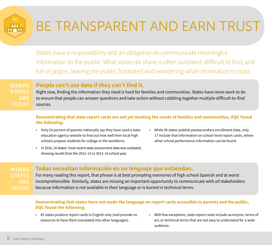# BE TRANSPARENT AND EARN TRUST

States have a responsibility and an obligation to communicate meaningful information to the public. What states do share is often outdated, difficult to find, and full of jargon, leaving the public frustrated and wondering what information to trust.

**WHERE STATES** ARE **TODAY** 

**TIL** 

## **People can't use data if they can't find it.**

Right now, finding the information they need is hard for families and communities. States have more work to do to ensure that people can answer questions and take action without cobbling together multiple difficult-to-find sources.

### **Demonstrating that state report cards are not yet meeting the needs of families and communities, DQC found the following:**

- Only 24 percent of parents nationally say they have used a state education agency website to find out how well their local high schools prepare students for college or the workforce.
- While 45 states publish postsecondary enrollment data, only 17 include that information on school-level report cards, where other school performance information can be found.
- In 2016, 10 states' most recent state assessment data was outdated, showing results from the 2012–13 or 2013–14 school year.

## WHERE ARE **TODAY**

## **Todos necesitan información en un lenguaje que entiendan.**

For many reading this report, that phrase is at best prompting memories of high school Spanish and at worst incomprehensible. Similarly, states are missing an important opportunity to communicate with *all* stakeholders because information is not available in their language or is buried in technical terms.

### **Demonstrating that states have not made the language on report cards accessible to parents and the public, DQC found the following:**

- 45 states produce report cards in English only (and provide no resources to have them translated into other languages).
- With few exceptions, state report cards include acronyms, terms of art, or technical terms that are not easy to understand for a wide audience.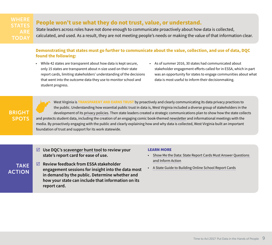**WHERE** STATES **TODAY** 

## **People won't use what they do not trust, value, or understand.**

State leaders across roles have not done enough to communicate proactively about how data is collected, calculated, and used. As a result, they are not meeting people's needs or making the value of that information clear.

### **Demonstrating that states must go further to communicate about the value, collection, and use of data, DQC found the following:**

- While 42 states are transparent about how data is kept secure, only 15 states are transparent about n-size used on their state report cards, limiting stakeholders' understanding of the decisions that went into the outcome data they use to monitor school and student progress.
- As of summer 2016, 30 states had communicated about stakeholder engagement efforts called for in ESSA, which in part was an opportunity for states to engage communities about what data is most useful to inform their decisionmaking.

BRIGHT SPOTS

West Virginia is **TRANSPARENT AND EARNS TRUST** by proactively and clearly communicating its data privacy practices to the public. Understanding how essential public trust in data is, West Virginia included a diverse group of stakeholders in the development of its [privacy policies.](https://wvde.state.wv.us/zoomwv/data-privacy.html) Then state leaders created a strategic communications plan to show how the state collects and protects student data, including the creation of an engaging comic book-themed [newsletter](https://static.k12.wv.us/zoomwv/newsletter/Data-Squad-Newsletter-2016-06.pdf) and informational meetings with the media. By proactively engaging with the public and clearly explaining how and why data is collected, West Virginia built an important foundation of trust and support for its work statewide.

- **Use DQC's [scavenger hunt tool](https://2pido73em67o3eytaq1cp8au-wpengine.netdna-ssl.com/wp-content/uploads/2016/12/DQC-Report-Card-Scavenger-Hunt-12012016.pdf) to review your state's report card for ease of use.**
- **Review feedback from ESSA stakeholder engagement sessions for insight into the data most in demand by the public. Determine whether and how your state can include that information on its report card.**  TAKE ACTION

- [Show Me the Data: State Report Cards Must Answer Questions](http://dataqualitycampaign.org/showmethedata/)  [and Inform Action](http://dataqualitycampaign.org/showmethedata/)
- [A State Guide to Building Online School Report Cards](http://www.excelined.org/wp-content/uploads/2017/05/AStateGuideToBuildingOnlineReportCardsTimeline-FINAL.pdf?utm_source=ExcelinEd&utm_campaign=d34cdca108-EMAIL_CAMPAIGN_2017_05_03&utm_medium=email&utm_term=0_0473a80b81-d34cdca108-115679229)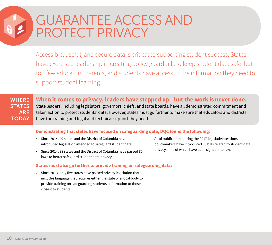## GUARANTEE ACCESS AND PROTECT PRIVACY

Accessible, useful, and secure data is critical to supporting student success. States have exercised leadership in creating policy guardrails to keep student data safe, but too few educators, parents, and students have access to the information they need to support student learning.

## **WHERE STATES** ARE **TODAY**

**When it comes to privacy, leaders have stepped up—but the work is never done.** 

State leaders, including legislators, governors, chiefs, and state boards, have all demonstrated commitment and taken action to protect students' data. However, states must go further to make sure that educators and districts have the training and legal and technical support they need.

#### **Demonstrating that states have focused on safeguarding data, DQC found the following:**

- Since 2014, 49 states and the District of Columbia have introduced legislation intended to safeguard student data.
- Since 2014, 38 states and the District of Columbia have passed 85 laws to better safeguard student data privacy.
- As of publication, during the 2017 legislative sessions policymakers have introduced 80 bills related to student data privacy, nine of which have been signed into law.

#### **States must also go further to provide training on safeguarding data:**

• Since 2013, only five states have passed privacy legislation that includes language that requires either the state or a local body to provide training on safeguarding students' information to those closest to students.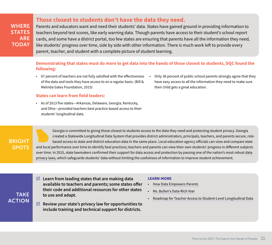## **Those closest to students don't have the data they need.**

WHERE **STATES** ARE **TODAY** 

Parents and educators want and need their students' data. States have gained ground in providing information to teachers beyond test scores, like early warning data. Though parents have access to their student's school report cards, and some have a district portal, too few states are ensuring that parents have all the information they need, like students' progress over time, side by side with other information. There is much work left to provide every parent, teacher, and student with a complete picture of student learning.

### **Demonstrating that states must do more to get data into the hands of those closest to students, DQC found the following:**

- 67 percent of teachers are not fully satisfied with the effectiveness of the data and tools they have access to on a regular basis. (Bill & Melinda Gates Foundation, 2015)
- Only 36 percent of public school parents strongly agree that they have easy access to all the information they need to make sure their child gets a great education.

#### **States can learn from field leaders:**

• As of 2013 five states—Arkansas, Delaware, Georgia, Kentucky, and Ohio—provided teachers best practice-based access to their students' longitudinal data.

### BRIGHT **SPOTS**

Georgia is committed to giving those closest to students access to the data they need and protecting student privacy. Georgia created a Statewide Longitudinal Data System that provides district administrators, principals, teachers, and parents secure, rolebased access to state and district education data in the same place. Local education agency officials can view and compare state and local performance over time to identify best practices; teachers and parents can view their own students' progress in different subjects over time. In 2015, state lawmakers confirmed their support for data access and protection by passing one of the nation's most robust [data](http://www.cqstatetrack.com/texis/redir?id=54d5ae6914&rtype=text&original=y)  [privacy laws,](http://www.cqstatetrack.com/texis/redir?id=54d5ae6914&rtype=text&original=y) which safeguards students' data without limiting the usefulness of information to improve student achievement.

## TAKE ACTION

- **Learn from leading states that are making data available to teachers and parents; some states offer their code and additional resources for other states to use and adapt.**
- **Review your state's privacy law for opportunities to include training and technical support for districts.**

- [How Data Empowers Parents](http://dataqualitycampaign.org/resource/data-empowers-parents/)
- [Ms. Bullen's Data-Rich Year](http://dataqualitycampaign.org/resource/infographic-ms-bullens-data-rich-year/)
- [Roadmap for Teacher Access to Student-Level Longitudinal Data](http://dataqualitycampaign.org/resource/roadmap-teacher-access-student-level-longitudinal-data/)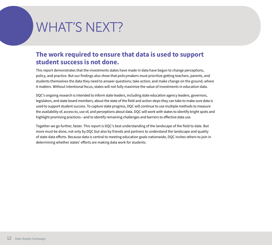# WHAT'S NEXT?

## **The work required to ensure that data is used to support student success is not done.**

This report demonstrates that the investments states have made in data have begun to change perceptions, policy, and practice. But our findings also show that policymakers must prioritize getting teachers, parents, and students themselves the data they need to answer questions; take action; and make change on the ground, where it matters. Without intentional focus, states will not fully maximize the value of investments in education data.

DQC's ongoing research is intended to inform state leaders, including state education agency leaders, governors, legislators, and state board members, about the state of the field and action steps they can take to make sure data is used to support student success. To capture state progress, DQC will continue to use multiple methods to measure the availability of, access to, use of, and perceptions about data. DQC will work with states to identify bright spots and highlight promising practices—and to identify remaining challenges and barriers to effective data use.

Together we go further, faster. This report is DQC's best understanding of the landscape of the field to date. But more must be done, not only by DQC but also by friends and partners to understand the landscape and quality of state data efforts. Because data is central to meeting education goals nationwide, DQC invites others to join in determining whether states' efforts are making data work for students.